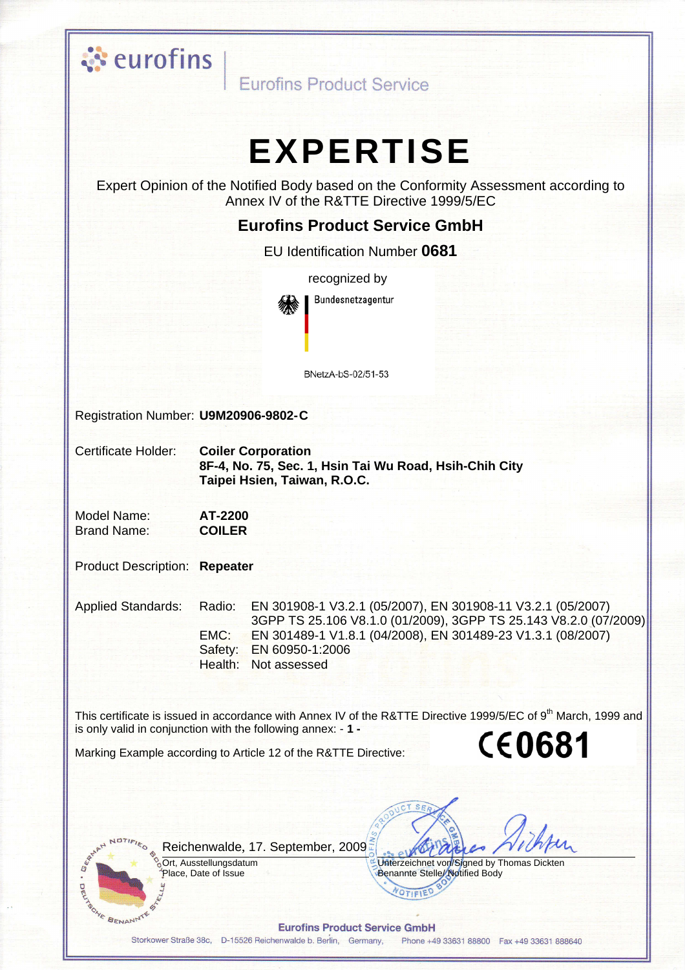

Eurofins Product Service

# **EXPERTISE**

Expert Opinion of the Notified Body based on the Conformity Assessment according to Annex IV of the R&TTE Directive 1999/5/EC

#### **Eurofins Product Service GmbH**

EU Identification Number 0681

recognized by Bundesnetzagentur

BNetzA-bS-02/51-53

Registration Number: U9M20906-9802-C

**Certificate Holder: Coiler Corporation** 8F-4, No. 75, Sec. 1, Hsin Tai Wu Road, Hsih-Chih City Taipei Hsien, Taiwan, R.O.C.

Model Name: AT-2200 **Brand Name: COILER** 

**Product Description: Repeater** 

**Applied Standards:** Radio: EMC:

EN 301908-1 V3.2.1 (05/2007), EN 301908-11 V3.2.1 (05/2007) 3GPP TS 25.106 V8.1.0 (01/2009), 3GPP TS 25.143 V8.2.0 (07/2009) EN 301489-1 V1.8.1 (04/2008), EN 301489-23 V1.3.1 (08/2007) Safety: EN 60950-1:2006 Health: Not assessed

This certificate is issued in accordance with Annex IV of the R&TTE Directive 1999/5/EC of 9<sup>th</sup> March, 1999 and is only valid in conjunction with the following annex: - 1 -**CE0681** 

Marking Example according to Article 12 of the R&TTE Directive:

Reichenwalde, 17. September, 2009.

Ort, Ausstellungsdatum Place, Date of Issue

 $\overline{R}$ 

**AVE BENANNIE** 

Unterzeichnet von/Signed by Thomas Dickten Benannte Stelle/Notified Body

**Eurofins Product Service GmbH** 

Storkower Straße 38c, D-15526 Reichenwalde b. Berlin, Germany, Phone +49 33631 88800 Fax +49 33631 888640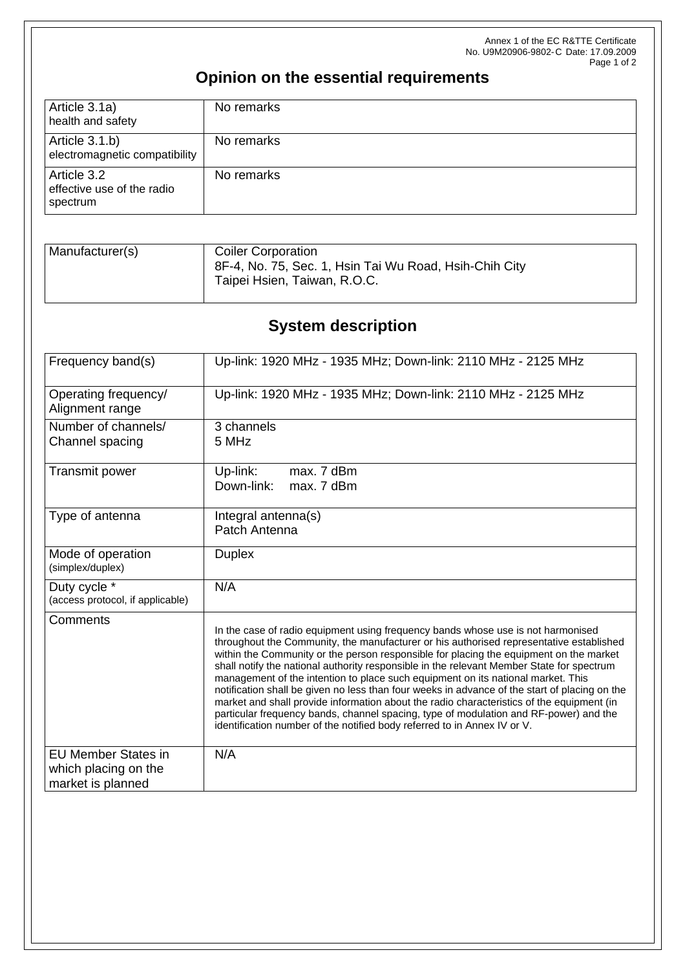Annex 1 of the EC R&TTE Certificate No. U9M20906-9802-C Date: 17.09.2009 Page 1 of 2

## **Opinion on the essential requirements**

| Article 3.1a)<br>health and safety                    | No remarks |
|-------------------------------------------------------|------------|
| Article 3.1.b)<br>electromagnetic compatibility       | No remarks |
| Article 3.2<br>effective use of the radio<br>spectrum | No remarks |

| Manufacturer(s) | <b>Coiler Corporation</b>                                                              |
|-----------------|----------------------------------------------------------------------------------------|
|                 | 8F-4, No. 75, Sec. 1, Hsin Tai Wu Road, Hsih-Chih City<br>Taipei Hsien, Taiwan, R.O.C. |

## **System description**

| Frequency band(s)                                                       | Up-link: 1920 MHz - 1935 MHz; Down-link: 2110 MHz - 2125 MHz                                                                                                                                                                                                                                                                                                                                                                                                                                                                                                                                                                                                                                                                                                                                                              |
|-------------------------------------------------------------------------|---------------------------------------------------------------------------------------------------------------------------------------------------------------------------------------------------------------------------------------------------------------------------------------------------------------------------------------------------------------------------------------------------------------------------------------------------------------------------------------------------------------------------------------------------------------------------------------------------------------------------------------------------------------------------------------------------------------------------------------------------------------------------------------------------------------------------|
| Operating frequency/<br>Alignment range                                 | Up-link: 1920 MHz - 1935 MHz; Down-link: 2110 MHz - 2125 MHz                                                                                                                                                                                                                                                                                                                                                                                                                                                                                                                                                                                                                                                                                                                                                              |
| Number of channels/<br>Channel spacing                                  | 3 channels<br>5 MHz                                                                                                                                                                                                                                                                                                                                                                                                                                                                                                                                                                                                                                                                                                                                                                                                       |
| Transmit power                                                          | Up-link:<br>max. 7 dBm<br>Down-link:<br>max. 7 dBm                                                                                                                                                                                                                                                                                                                                                                                                                                                                                                                                                                                                                                                                                                                                                                        |
| Type of antenna                                                         | Integral antenna(s)<br>Patch Antenna                                                                                                                                                                                                                                                                                                                                                                                                                                                                                                                                                                                                                                                                                                                                                                                      |
| Mode of operation<br>(simplex/duplex)                                   | <b>Duplex</b>                                                                                                                                                                                                                                                                                                                                                                                                                                                                                                                                                                                                                                                                                                                                                                                                             |
| Duty cycle *<br>(access protocol, if applicable)                        | N/A                                                                                                                                                                                                                                                                                                                                                                                                                                                                                                                                                                                                                                                                                                                                                                                                                       |
| Comments                                                                | In the case of radio equipment using frequency bands whose use is not harmonised<br>throughout the Community, the manufacturer or his authorised representative established<br>within the Community or the person responsible for placing the equipment on the market<br>shall notify the national authority responsible in the relevant Member State for spectrum<br>management of the intention to place such equipment on its national market. This<br>notification shall be given no less than four weeks in advance of the start of placing on the<br>market and shall provide information about the radio characteristics of the equipment (in<br>particular frequency bands, channel spacing, type of modulation and RF-power) and the<br>identification number of the notified body referred to in Annex IV or V. |
| <b>EU Member States in</b><br>which placing on the<br>market is planned | N/A                                                                                                                                                                                                                                                                                                                                                                                                                                                                                                                                                                                                                                                                                                                                                                                                                       |